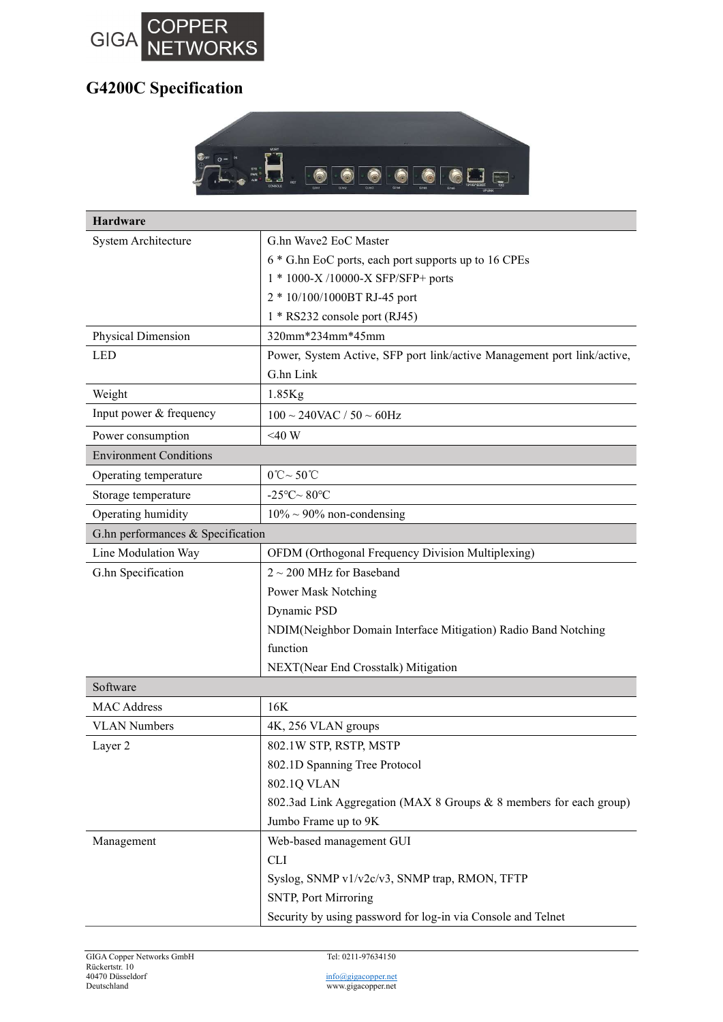

## G4200C Specification



| <b>Hardware</b>                   |                                                                         |
|-----------------------------------|-------------------------------------------------------------------------|
| System Architecture               | G.hn Wave2 EoC Master                                                   |
|                                   | 6 * G.hn EoC ports, each port supports up to 16 CPEs                    |
|                                   | 1 * 1000-X /10000-X SFP/SFP+ ports                                      |
|                                   | 2 * 10/100/1000BT RJ-45 port                                            |
|                                   | 1 * RS232 console port (RJ45)                                           |
| Physical Dimension                | 320mm*234mm*45mm                                                        |
| <b>LED</b>                        | Power, System Active, SFP port link/active Management port link/active, |
|                                   | G.hn Link                                                               |
| Weight                            | $1.85$ Kg                                                               |
| Input power & frequency           | $100 \sim 240$ VAC / $50 \sim 60$ Hz                                    |
| Power consumption                 | $<$ 40 W                                                                |
| <b>Environment Conditions</b>     |                                                                         |
| Operating temperature             | $0^{\circ}C \sim 50^{\circ}C$                                           |
| Storage temperature               | -25 $\textdegree$ C $\sim$ 80 $\textdegree$ C                           |
| Operating humidity                | $10\% \sim 90\%$ non-condensing                                         |
| G.hn performances & Specification |                                                                         |
| Line Modulation Way               | OFDM (Orthogonal Frequency Division Multiplexing)                       |
| G.hn Specification                | $2 \sim 200$ MHz for Baseband                                           |
|                                   | Power Mask Notching                                                     |
|                                   | Dynamic PSD                                                             |
|                                   | NDIM(Neighbor Domain Interface Mitigation) Radio Band Notching          |
|                                   | function                                                                |
|                                   | NEXT(Near End Crosstalk) Mitigation                                     |
| Software                          |                                                                         |
| <b>MAC Address</b>                | 16K                                                                     |
| <b>VLAN Numbers</b>               | 4K, 256 VLAN groups                                                     |
| Layer 2                           | 802.1W STP, RSTP, MSTP                                                  |
|                                   | 802.1D Spanning Tree Protocol                                           |
|                                   | 802.1Q VLAN                                                             |
|                                   | 802.3ad Link Aggregation (MAX 8 Groups & 8 members for each group)      |
|                                   | Jumbo Frame up to 9K                                                    |
| Management                        | Web-based management GUI                                                |
|                                   | <b>CLI</b>                                                              |
|                                   | Syslog, SNMP v1/v2c/v3, SNMP trap, RMON, TFTP                           |
|                                   | SNTP, Port Mirroring                                                    |
|                                   | Security by using password for log-in via Console and Telnet            |